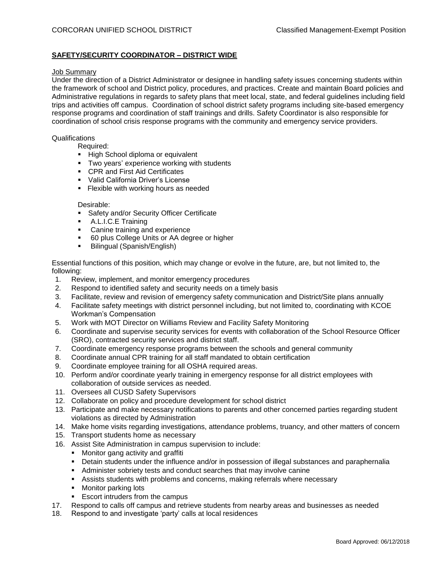# **SAFETY/SECURITY COORDINATOR – DISTRICT WIDE**

# Job Summary

Under the direction of a District Administrator or designee in handling safety issues concerning students within the framework of school and District policy, procedures, and practices. Create and maintain Board policies and Administrative regulations in regards to safety plans that meet local, state, and federal guidelines including field trips and activities off campus. Coordination of school district safety programs including site-based emergency response programs and coordination of staff trainings and drills. Safety Coordinator is also responsible for coordination of school crisis response programs with the community and emergency service providers.

#### **Qualifications**

Required:

- **E** High School diploma or equivalent
- **Two years' experience working with students**
- CPR and First Aid Certificates
- Valid California Driver's License
- **EXIBLE 1.5 Fiexible with working hours as needed**

#### Desirable:

- **EXECUTE:** Safety and/or Security Officer Certificate
- A.L.I.C.E Training
- Canine training and experience
- 60 plus College Units or AA degree or higher
- Bilingual (Spanish/English)

Essential functions of this position, which may change or evolve in the future, are, but not limited to, the following:

- 1. Review, implement, and monitor emergency procedures
- 2. Respond to identified safety and security needs on a timely basis
- 3. Facilitate, review and revision of emergency safety communication and District/Site plans annually
- 4. Facilitate safety meetings with district personnel including, but not limited to, coordinating with KCOE Workman's Compensation
- 5. Work with MOT Director on Williams Review and Facility Safety Monitoring
- 6. Coordinate and supervise security services for events with collaboration of the School Resource Officer (SRO), contracted security services and district staff.
- 7. Coordinate emergency response programs between the schools and general community
- 8. Coordinate annual CPR training for all staff mandated to obtain certification
- 9. Coordinate employee training for all OSHA required areas.
- 10. Perform and/or coordinate yearly training in emergency response for all district employees with collaboration of outside services as needed.
- 11. Oversees all CUSD Safety Supervisors
- 12. Collaborate on policy and procedure development for school district
- 13. Participate and make necessary notifications to parents and other concerned parties regarding student violations as directed by Administration
- 14. Make home visits regarding investigations, attendance problems, truancy, and other matters of concern
- 15. Transport students home as necessary
- 16. Assist Site Administration in campus supervision to include:
	- Monitor gang activity and graffiti
	- Detain students under the influence and/or in possession of illegal substances and paraphernalia
	- Administer sobriety tests and conduct searches that may involve canine
	- **EXECTS STS** Assists students with problems and concerns, making referrals where necessary
	- Monitor parking lots
	- Escort intruders from the campus
- 17. Respond to calls off campus and retrieve students from nearby areas and businesses as needed
- 18. Respond to and investigate 'party' calls at local residences